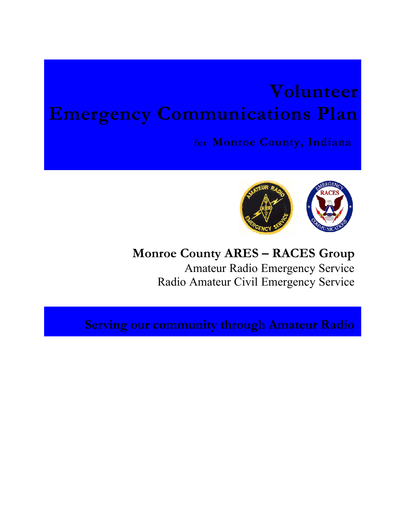# **Volunteer Emergency Communications Plan**

**for Monroe County, Indiana**



# **Monroe County ARES – RACES Group** Amateur Radio Emergency Service Radio Amateur Civil Emergency Service

**Serving our community through Amateur Radio**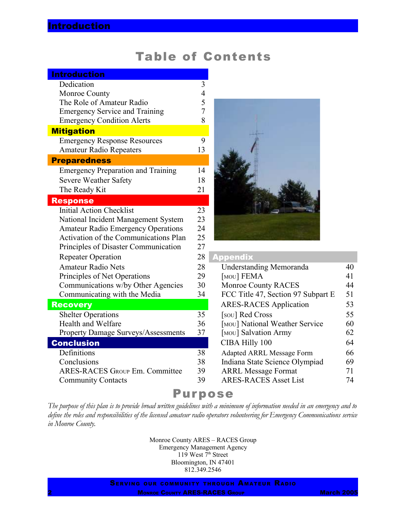### Table of Contents

| <b>Introduction</b>                          |                |                                    |    |
|----------------------------------------------|----------------|------------------------------------|----|
| Dedication                                   | $\mathfrak{Z}$ |                                    |    |
| Monroe County                                | $\overline{4}$ |                                    |    |
| The Role of Amateur Radio                    | 5              |                                    |    |
| <b>Emergency Service and Training</b>        | 7              |                                    |    |
| <b>Emergency Condition Alerts</b>            | 8              |                                    |    |
| <b>Mitigation</b>                            |                |                                    |    |
| <b>Emergency Response Resources</b>          | 9              |                                    |    |
| <b>Amateur Radio Repeaters</b>               | 13             |                                    |    |
| <b>Preparedness</b>                          |                |                                    |    |
| <b>Emergency Preparation and Training</b>    | 14             |                                    |    |
| Severe Weather Safety                        | 18             |                                    |    |
| The Ready Kit                                | 21             |                                    |    |
| <b>Response</b>                              |                |                                    |    |
| <b>Initial Action Checklist</b>              | 23             |                                    |    |
| National Incident Management System          | 23             |                                    |    |
| <b>Amateur Radio Emergency Operations</b>    | 24             |                                    |    |
| <b>Activation of the Communications Plan</b> | 25             |                                    |    |
| Principles of Disaster Communication         | 27             |                                    |    |
| <b>Repeater Operation</b>                    | 28             | <b>Appendix</b>                    |    |
| <b>Amateur Radio Nets</b>                    | 28             | <b>Understanding Memoranda</b>     | 40 |
| Principles of Net Operations                 | 29             | [MOU] FEMA                         | 41 |
| Communications w/by Other Agencies           | 30             | <b>Monroe County RACES</b>         | 44 |
| Communicating with the Media                 | 34             | FCC Title 47, Section 97 Subpart E | 51 |
| <b>Recovery</b>                              |                | <b>ARES-RACES</b> Application      | 53 |
| <b>Shelter Operations</b>                    | 35             | [sou] Red Cross                    | 55 |
| Health and Welfare                           | 36             | [MOU] National Weather Service     | 60 |
| <b>Property Damage Surveys/Assessments</b>   | 37             | [MOU] Salvation Army               | 62 |
| <b>Conclusion</b>                            |                | CIBA Hilly 100                     | 64 |
| Definitions                                  | 38             | Adapted ARRL Message Form          | 66 |
| Conclusions                                  | 38             | Indiana State Science Olympiad     | 69 |
| <b>ARES-RACES GROUP Em. Committee</b>        | 39             | <b>ARRL Message Format</b>         | 71 |
| <b>Community Contacts</b>                    | 39             | <b>ARES-RACES Asset List</b>       | 74 |



| <u>Appendix</u>                    |    |
|------------------------------------|----|
| <b>Understanding Memoranda</b>     | 40 |
| [MOU] FEMA                         | 41 |
| <b>Monroe County RACES</b>         | 44 |
| FCC Title 47, Section 97 Subpart E | 51 |
| <b>ARES-RACES</b> Application      | 53 |
| [sou] Red Cross                    | 55 |
| [MOU] National Weather Service     | 60 |
| [MOU] Salvation Army               | 62 |
| CIBA Hilly 100                     | 64 |
| <b>Adapted ARRL Message Form</b>   | 66 |
| Indiana State Science Olympiad     | 69 |
| <b>ARRL Message Format</b>         | 71 |
| <b>ARES-RACES Asset List</b>       | 74 |

### Purpose

The purpose of this plan is to provide broad written guidelines with a minimum of information needed in an emergency and to define the roles and responsibilities of the licensed amateur radio operators volunteering for Emergency Communications service *in Monroe County.*

> Monroe County ARES – RACES Group Emergency Management Agency 119 West 7<sup>th</sup> Street Bloomington, IN 47401 812.349.2546

SERVING OUR COMMUNITY THROUGH AMATEUR RADIO **MONROE COUNTY ARES-RACES GROUP MARCH 2005**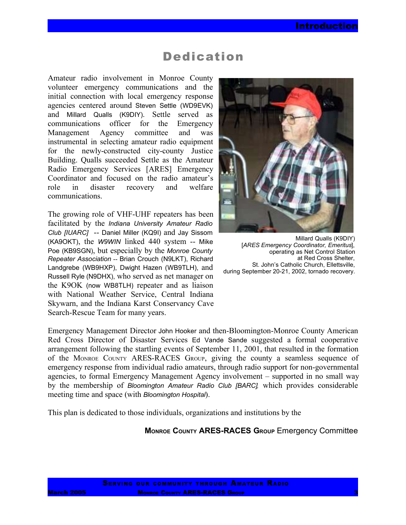### Dedication

Amateur radio involvement in Monroe County volunteer emergency communications and the initial connection with local emergency response agencies centered around Steven Settle (WD9EVK) and Millard Qualls (K9DIY). Settle served as communications officer for the Emergency Management Agency committee and was instrumental in selecting amateur radio equipment for the newly-constructed city-county Justice Building. Qualls succeeded Settle as the Amateur Radio Emergency Services [ARES] Emergency Coordinator and focused on the radio amateur's role in disaster recovery and welfare communications.

The growing role of VHF-UHF repeaters has been facilitated by the *Indiana University Amateur Radio Club [IUARC]* -- Daniel Miller (KQ9I) and Jay Sissom (KA9OKT), the *W9WIN* linked 440 system -- Mike Poe (KB9SGN), but especially by the *Monroe County Repeater Association* -- Brian Crouch (N9LKT), Richard Landgrebe (WB9HXP), Dwight Hazen (WB9TLH), and Russell Ryle (N9DHX), who served as net manager on the K9OK (now WB8TLH) repeater and as liaison with National Weather Service, Central Indiana Skywarn, and the Indiana Karst Conservancy Cave Search-Rescue Team for many years.



Millard Qualls (K9DIY) [*ARES Emergency Coordinator, Emeritus*], operating as Net Control Station at Red Cross Shelter, St. John's Catholic Church, Ellettsville, during September 20-21, 2002, tornado recovery.

Emergency Management Director John Hooker and then-Bloomington-Monroe County American Red Cross Director of Disaster Services Ed Vande Sande suggested a formal cooperative arrangement following the startling events of September 11, 2001, that resulted in the formation of the MONROE COUNTY ARES-RACES GROUP, giving the county a seamless sequence of emergency response from individual radio amateurs, through radio support for non-governmental agencies, to formal Emergency Management Agency involvement – supported in no small way by the membership of *Bloomington Amateur Radio Club [BARC],* which provides considerable meeting time and space (with *Bloomington Hospital*).

This plan is dedicated to those individuals, organizations and institutions by the

**MONROE COUNTY ARES-RACES GROUP** Emergency Committee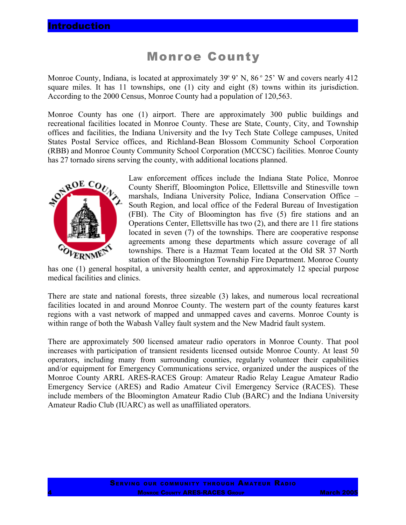### Monroe County

Monroe County, Indiana, is located at approximately 39° 9' N, 86 ° 25' W and covers nearly 412 square miles. It has 11 townships, one (1) city and eight (8) towns within its jurisdiction. According to the 2000 Census, Monroe County had a population of 120,563.

Monroe County has one (1) airport. There are approximately 300 public buildings and recreational facilities located in Monroe County. These are State, County, City, and Township offices and facilities, the Indiana University and the Ivy Tech State College campuses, United States Postal Service offices, and Richland-Bean Blossom Community School Corporation (RBB) and Monroe County Community School Corporation (MCCSC) facilities. Monroe County has 27 tornado sirens serving the county, with additional locations planned.



Law enforcement offices include the Indiana State Police, Monroe County Sheriff, Bloomington Police, Ellettsville and Stinesville town marshals, Indiana University Police, Indiana Conservation Office – South Region, and local office of the Federal Bureau of Investigation (FBI). The City of Bloomington has five (5) fire stations and an Operations Center, Ellettsville has two (2), and there are 11 fire stations located in seven (7) of the townships. There are cooperative response agreements among these departments which assure coverage of all townships. There is a Hazmat Team located at the Old SR 37 North station of the Bloomington Township Fire Department. Monroe County

has one (1) general hospital, a university health center, and approximately 12 special purpose medical facilities and clinics.

There are state and national forests, three sizeable (3) lakes, and numerous local recreational facilities located in and around Monroe County. The western part of the county features karst regions with a vast network of mapped and unmapped caves and caverns. Monroe County is within range of both the Wabash Valley fault system and the New Madrid fault system.

There are approximately 500 licensed amateur radio operators in Monroe County. That pool increases with participation of transient residents licensed outside Monroe County. At least 50 operators, including many from surrounding counties, regularly volunteer their capabilities and/or equipment for Emergency Communications service, organized under the auspices of the Monroe County ARRL ARES-RACES Group: Amateur Radio Relay League Amateur Radio Emergency Service (ARES) and Radio Amateur Civil Emergency Service (RACES). These include members of the Bloomington Amateur Radio Club (BARC) and the Indiana University Amateur Radio Club (IUARC) as well as unaffiliated operators.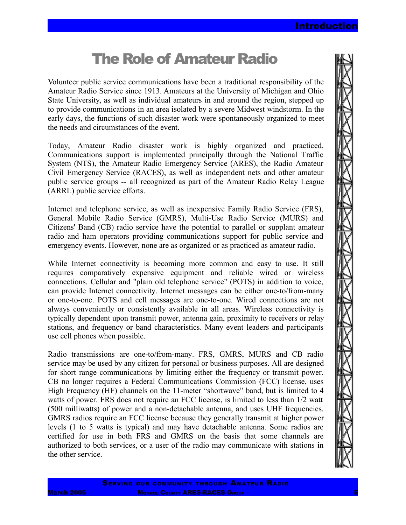# The Role of Amateur Radio

Volunteer public service communications have been a traditional responsibility of the Amateur Radio Service since 1913. Amateurs at the University of Michigan and Ohio State University, as well as individual amateurs in and around the region, stepped up to provide communications in an area isolated by a severe Midwest windstorm. In the early days, the functions of such disaster work were spontaneously organized to meet the needs and circumstances of the event.

Today, Amateur Radio disaster work is highly organized and practiced. Communications support is implemented principally through the National Traffic System (NTS), the Amateur Radio Emergency Service (ARES), the Radio Amateur Civil Emergency Service (RACES), as well as independent nets and other amateur public service groups -- all recognized as part of the Amateur Radio Relay League (ARRL) public service efforts.

Internet and telephone service, as well as inexpensive Family Radio Service (FRS), General Mobile Radio Service (GMRS), Multi-Use Radio Service (MURS) and Citizens' Band (CB) radio service have the potential to parallel or supplant amateur radio and ham operators providing communications support for public service and emergency events. However, none are as organized or as practiced as amateur radio.

While Internet connectivity is becoming more common and easy to use. It still requires comparatively expensive equipment and reliable wired or wireless connections. Cellular and "plain old telephone service" (POTS) in addition to voice, can provide Internet connectivity. Internet messages can be either one-to/from-many or one-to-one. POTS and cell messages are one-to-one. Wired connections are not always conveniently or consistently available in all areas. Wireless connectivity is typically dependent upon transmit power, antenna gain, proximity to receivers or relay stations, and frequency or band characteristics. Many event leaders and participants use cell phones when possible.

Radio transmissions are one-to/from-many. FRS, GMRS, MURS and CB radio service may be used by any citizen for personal or business purposes. All are designed for short range communications by limiting either the frequency or transmit power. CB no longer requires a Federal Communications Commission (FCC) license, uses High Frequency (HF) channels on the 11-meter "shortwave" band, but is limited to 4 watts of power. FRS does not require an FCC license, is limited to less than 1/2 watt (500 milliwatts) of power and a non-detachable antenna, and uses UHF frequencies. GMRS radios require an FCC license because they generally transmit at higher power levels (1 to 5 watts is typical) and may have detachable antenna. Some radios are certified for use in both FRS and GMRS on the basis that some channels are authorized to both services, or a user of the radio may communicate with stations in the other service.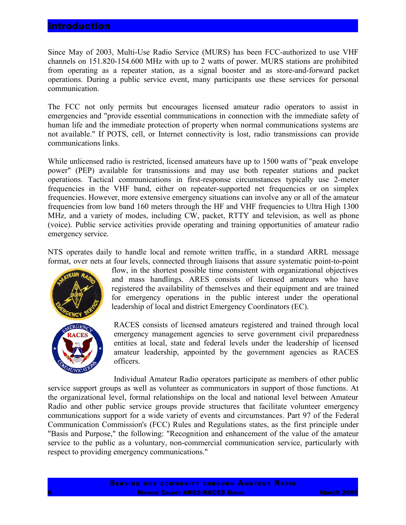### **Introduction**

Since May of 2003, Multi-Use Radio Service (MURS) has been FCC-authorized to use VHF channels on 151.820-154.600 MHz with up to 2 watts of power. MURS stations are prohibited from operating as a repeater station, as a signal booster and as store-and-forward packet operations. During a public service event, many participants use these services for personal communication.

The FCC not only permits but encourages licensed amateur radio operators to assist in emergencies and "provide essential communications in connection with the immediate safety of human life and the immediate protection of property when normal communications systems are not available." If POTS, cell, or Internet connectivity is lost, radio transmissions can provide communications links.

While unlicensed radio is restricted, licensed amateurs have up to 1500 watts of "peak envelope power" (PEP) available for transmissions and may use both repeater stations and packet operations. Tactical communications in first-response circumstances typically use 2-meter frequencies in the VHF band, either on repeater-supported net frequencies or on simplex frequencies. However, more extensive emergency situations can involve any or all of the amateur frequencies from low band 160 meters through the HF and VHF frequencies to Ultra High 1300 MHz, and a variety of modes, including CW, packet, RTTY and television, as well as phone (voice). Public service activities provide operating and training opportunities of amateur radio emergency service.

NTS operates daily to handle local and remote written traffic, in a standard ARRL message format, over nets at four levels, connected through liaisons that assure systematic point-to-point



flow, in the shortest possible time consistent with organizational objectives and mass handlings. ARES consists of licensed amateurs who have registered the availability of themselves and their equipment and are trained for emergency operations in the public interest under the operational leadership of local and district Emergency Coordinators (EC).

RACES consists of licensed amateurs registered and trained through local emergency management agencies to serve government civil preparedness entities at local, state and federal levels under the leadership of licensed amateur leadership, appointed by the government agencies as RACES officers.

Individual Amateur Radio operators participate as members of other public service support groups as well as volunteer as communicators in support of those functions. At the organizational level, formal relationships on the local and national level between Amateur Radio and other public service groups provide structures that facilitate volunteer emergency communications support for a wide variety of events and circumstances. Part 97 of the Federal Communication Commission's (FCC) Rules and Regulations states, as the first principle under "Basis and Purpose," the following: "Recognition and enhancement of the value of the amateur service to the public as a voluntary, non-commercial communication service, particularly with respect to providing emergency communications."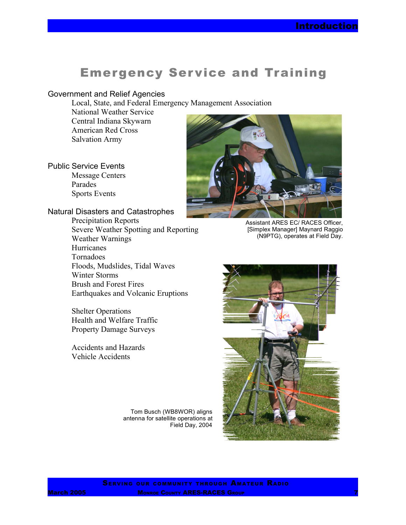## **Emergency Service and Training**

#### Government and Relief Agencies

Local, State, and Federal Emergency Management Association

National Weather Service Central Indiana Skywarn American Red Cross Salvation Army

Public Service Events Message Centers Parades Sports Events

### Natural Disasters and Catastrophes

Precipitation Reports Severe Weather Spotting and Reporting Weather Warnings **Hurricanes** Tornadoes Floods, Mudslides, Tidal Waves Winter Storms Brush and Forest Fires Earthquakes and Volcanic Eruptions

Shelter Operations Health and Welfare Traffic Property Damage Surveys

Accidents and Hazards Vehicle Accidents

> Tom Busch (WB8WOR) aligns antenna for satellite operations at Field Day, 2004



Assistant ARES EC/ RACES Officer, [Simplex Manager] Maynard Raggio (N9PTG), operates at Field Day.



SERVING OUR COMMUNITY THROUGH AMATEUR RADIO **March 2005 MONROE COUNTY ARES-RACES GROUP**